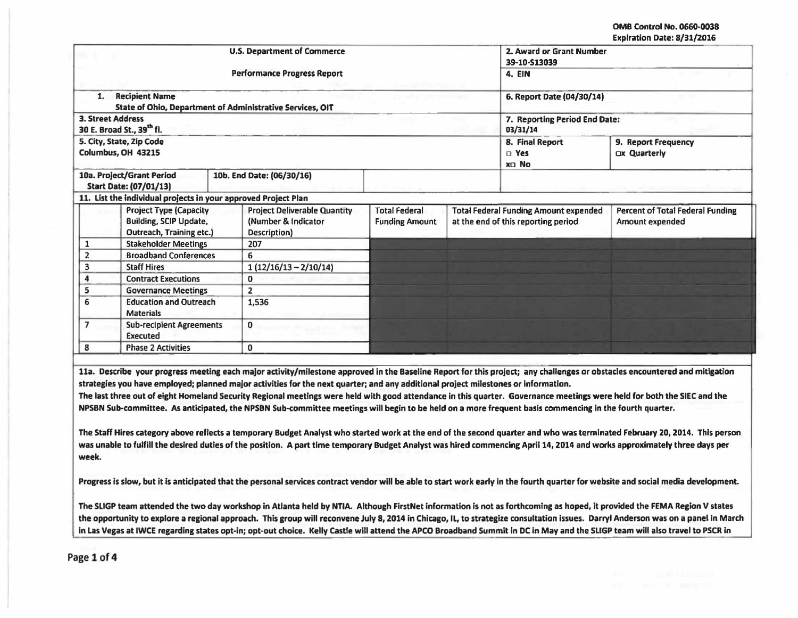| <b>U.S. Department of Commerce</b> |                                                                                            |                                     |                                           |                                               |                                                                                     | 2. Award or Grant Number<br>39-10-513039 |                                                            |  |
|------------------------------------|--------------------------------------------------------------------------------------------|-------------------------------------|-------------------------------------------|-----------------------------------------------|-------------------------------------------------------------------------------------|------------------------------------------|------------------------------------------------------------|--|
|                                    |                                                                                            | <b>Performance Progress Report</b>  |                                           | <b>4. EIN</b>                                 |                                                                                     |                                          |                                                            |  |
| 1.                                 | <b>Recipient Name</b><br>State of Ohio, Department of Administrative Services, OIT         |                                     |                                           | 6. Report Date (04/30/14)                     |                                                                                     |                                          |                                                            |  |
|                                    | 3. Street Address<br>30 E. Broad St., 39 <sup>th</sup> fl.                                 |                                     | 7. Reporting Period End Date:<br>03/31/14 |                                               |                                                                                     |                                          |                                                            |  |
|                                    | 5. City, State, Zip Code<br>Columbus, OH 43215                                             |                                     |                                           | 8. Final Report<br><b>D</b> Yes<br>XD No      | 9. Report Frequency<br>Ox Quarterly                                                 |                                          |                                                            |  |
|                                    | 10a. Project/Grant Period<br><b>Start Date: (07/01/13)</b>                                 | 10b. End Date: (06/30/16)           |                                           |                                               |                                                                                     |                                          |                                                            |  |
|                                    | 11. List the individual projects in your approved Project Plan                             |                                     |                                           |                                               |                                                                                     |                                          |                                                            |  |
|                                    | <b>Project Type (Capacity</b><br><b>Building, SCIP Update,</b><br>Outreach, Training etc.) | (Number & Indicator<br>Description) | <b>Project Deliverable Quantity</b>       | <b>Total Federal</b><br><b>Funding Amount</b> | <b>Total Federal Funding Amount expended</b><br>at the end of this reporting period |                                          | <b>Percent of Total Federal Funding</b><br>Amount expended |  |
| 1                                  | <b>Stakeholder Meetings</b>                                                                | 207                                 |                                           |                                               |                                                                                     |                                          |                                                            |  |
| $\overline{2}$                     | <b>Broadband Conferences</b>                                                               | 6                                   |                                           |                                               |                                                                                     |                                          |                                                            |  |
| 3                                  | <b>Staff Hires</b>                                                                         |                                     | $1(12/16/13 - 2/10/14)$                   |                                               |                                                                                     |                                          |                                                            |  |
| 4                                  | <b>Contract Executions</b>                                                                 | 0                                   |                                           |                                               |                                                                                     |                                          |                                                            |  |
| 5                                  | <b>Governance Meetings</b>                                                                 | $\overline{2}$                      |                                           |                                               |                                                                                     |                                          |                                                            |  |
| 6                                  | <b>Education and Outreach</b><br><b>Materials</b>                                          | 1,536                               |                                           |                                               |                                                                                     |                                          |                                                            |  |
| $\overline{\phantom{a}}$           | <b>Sub-recipient Agreements</b><br>Executed                                                | 0                                   |                                           |                                               |                                                                                     |                                          |                                                            |  |
|                                    | <b>Phase 2 Activities</b>                                                                  | 0                                   |                                           |                                               |                                                                                     |                                          |                                                            |  |

The Staff Hires category above reflects a temporary Budget Analyst who started work at the end of the second quarter and who was terminated February 20, 2014. This person was unable to fulfill the desired duties of the position. A part time temporary Budget Analyst was hired commencing April 14, 2014 and works approximately three days per week.

Progress is slow, but it is anticipated that the personal services contract vendor will be able to start work early in the fourth quarter for website and social media development.

The SLIGP team attended the two day workshop in Atlanta held by NTIA. Although FirstNet information is not as forthcoming as hoped, it provided the FEMA Region V states the opportunity to explore a regional approach. This group will reconvene July 8, 2014 in Chicago, IL, to strategize consultation issues. Darryl Anderson was on a panel in March In Las Vegas at IWCE regarding states opt-in; opt-out choice. Kelly Castle will attend the APCO Broadbomd Summit In DC In May and the SLIGP team will also travel to PSCR In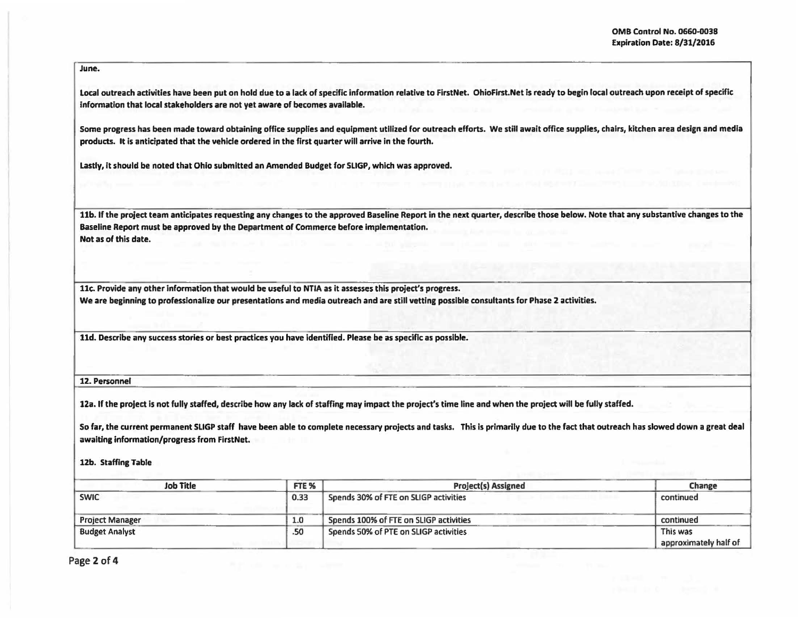I

June.

Local outreach activities have been put on hold due to a lack of specific information relative to FirstNet. OhioFirst.Net is ready to begin local outreach upon receipt of specific Information that local stakeholders are not yet aware of becomes available.

Some progress has been made toward obtaining office supplies and equipment utilized for outreach efforts. We still await office supplies, chairs, kitchen area design and media products. It Is anticipated that the vehicle ordered in the first quarter will arrive in the fourth.

Lastly, It should be noted that Ohio submitted an Amended Budget for SLIGP, which was approved.

llb. If the project team anticipates requesting any changes to the approved Baseline Report in the next quarter, describe those below. Note that any substantive changes to the Baseline Report must be approved by the Department of Commerce before Implementation. Not as of this date.

11c. Provide any other information that would be useful to NTIA as it assesses this project's progress.

We are beginning to professionalize our presentations and media outreach and are still vetting possible consultants for Phase 2 activities.

lld. Describe any success stories or best practices you have identified. Please be as specific as possible.

12. Personnel

12a. If the project Is not fully staffed, describe how any lack of staffing may impact the project's time line and when the project will be fully staffed.

So far, the current permanent SLIGP staff have been able to complete necessary projects and tasks. This is primarily due to the fact that outreach has slowed down a great deal awaiting information/progress from FirstNet.

12b. Staffing Table

| <b>Job Title</b>       | FTE <sub>%</sub> | <b>Project(s) Assigned</b>             | Change                            |  |
|------------------------|------------------|----------------------------------------|-----------------------------------|--|
| <b>SWIC</b>            | 0.33             | Spends 30% of FTE on SLIGP activities  | continued                         |  |
| <b>Project Manager</b> | 1.0              | Spends 100% of FTE on SLIGP activities | continued                         |  |
| <b>Budget Analyst</b>  | .50              | Spends 50% of PTE on SLIGP activities  | This was<br>approximately half of |  |

Page 2 of 4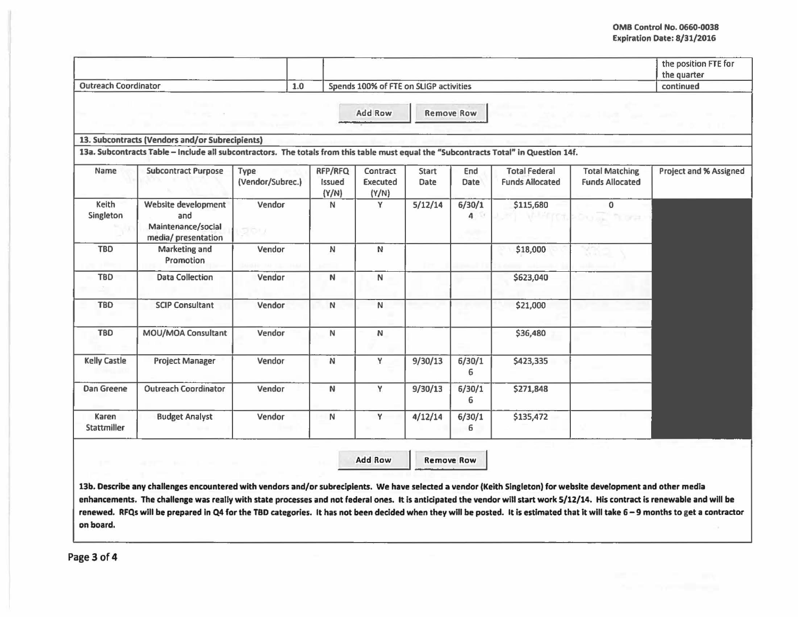## **OMB Control No. 0660-0038** EKplratlon Date: 8/31/2016

|                             |                                                                                                                                       |                          |                                        |                               |               |                   |                                                |                                                 | the position FTE for<br>the quarter |
|-----------------------------|---------------------------------------------------------------------------------------------------------------------------------------|--------------------------|----------------------------------------|-------------------------------|---------------|-------------------|------------------------------------------------|-------------------------------------------------|-------------------------------------|
| <b>Outreach Coordinator</b> |                                                                                                                                       | 1.0                      | Spends 100% of FTE on SLIGP activities |                               |               |                   |                                                | continued                                       |                                     |
|                             |                                                                                                                                       |                          |                                        | <b>Add Row</b>                |               | <b>Remove Row</b> |                                                |                                                 |                                     |
|                             | 13. Subcontracts (Vendors and/or Subrecipients)                                                                                       |                          |                                        |                               |               |                   |                                                |                                                 |                                     |
|                             | 13a. Subcontracts Table - Include all subcontractors. The totals from this table must equal the "Subcontracts Total" in Question 14f. |                          |                                        |                               |               |                   |                                                |                                                 |                                     |
| Name                        | <b>Subcontract Purpose</b>                                                                                                            | Type<br>(Vendor/Subrec.) | RFP/RFQ<br>Issued<br>(Y/N)             | Contract<br>Executed<br>(Y/N) | Start<br>Date | End<br>Date       | <b>Total Federal</b><br><b>Funds Allocated</b> | <b>Total Matching</b><br><b>Funds Allocated</b> | <b>Project and % Assigned</b>       |
| Keith<br>Singleton          | Website development<br>and<br>Maintenance/social<br>media/ presentation                                                               | Vendor<br>Sbu            | N                                      | Y                             | 5/12/14       | 6/30/1<br>4       | \$115,680                                      | $\mathbf{0}$<br><b>TELEPIST</b>                 |                                     |
| <b>TBD</b>                  | Marketing and<br>Promotion                                                                                                            | Vendor                   | N                                      | N                             |               |                   | \$18,000                                       |                                                 |                                     |
| <b>TBD</b>                  | <b>Data Collection</b>                                                                                                                | Vendor                   | $\mathbb N$                            | $\mathsf{N}$                  |               |                   | \$623,040                                      |                                                 |                                     |
| <b>TBD</b>                  | <b>SCIP Consultant</b>                                                                                                                | Vendor                   | N                                      | N                             |               |                   | \$21,000                                       |                                                 |                                     |
| <b>TBD</b>                  | MOU/MOA Consultant                                                                                                                    | Vendor                   | N                                      | N                             |               |                   | \$36,480                                       |                                                 |                                     |
| <b>Kelly Castle</b>         | <b>Project Manager</b>                                                                                                                | Vendor                   | N                                      | Y                             | 9/30/13       | 6/30/1<br>6       | \$423,335                                      |                                                 |                                     |
| <b>Dan Greene</b>           | <b>Outreach Coordinator</b>                                                                                                           | Vendor                   | N                                      | Y                             | 9/30/13       | 6/30/1<br>6       | \$271,848                                      |                                                 |                                     |
| Karen<br>Stattmiller        | <b>Budget Analyst</b>                                                                                                                 | Vendor                   | ${\sf N}$                              | Y                             | 4/12/14       | 6/30/1<br>6       | \$135,472                                      |                                                 |                                     |

Add Row Remove Row

13b. Describe any challenges encountered with vendors and/or subreciplents. We have selected a vendor (Keith Singleton) for website development and other media enhancements. The challenge was really with state processes and not federal ones. It is anticipated the vendor will start work 5/12/14. His contract is renewable and will be renewed. RFQs will be prepared in Q4 for the TBD categories. It has not been decided when they will be posted. It is estimated that it will take 6-9 months to get a contractor on board.